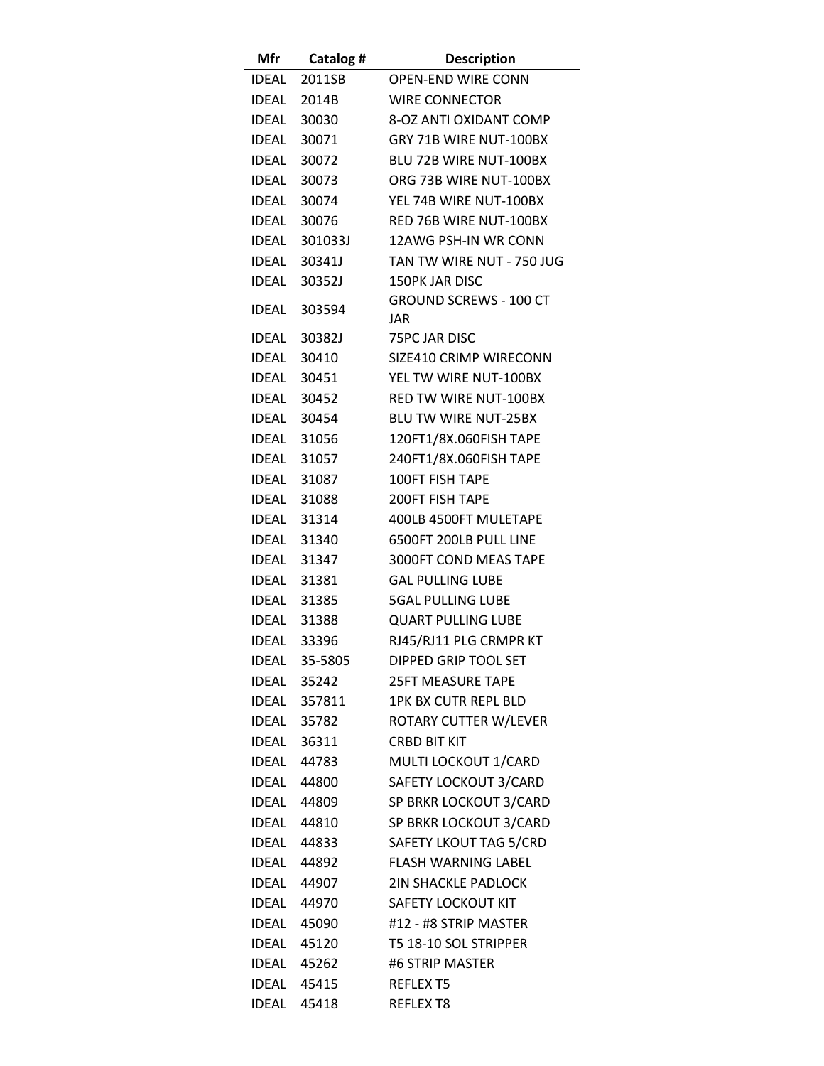| Mfr   | Catalog #          | <b>Description</b>                   |
|-------|--------------------|--------------------------------------|
|       | IDEAL 2011SB       | <b>OPEN-END WIRE CONN</b>            |
| IDEAL | 2014B              | <b>WIRE CONNECTOR</b>                |
| IDEAL | 30030              | 8-OZ ANTI OXIDANT COMP               |
|       | IDEAL 30071        | GRY 71B WIRE NUT-100BX               |
| IDEAL | 30072              | BLU 72B WIRE NUT-100BX               |
| IDEAL | 30073              | ORG 73B WIRE NUT-100BX               |
| IDEAL | 30074              | YEL 74B WIRE NUT-100BX               |
|       | IDEAL 30076        | RED 76B WIRE NUT-100BX               |
|       | IDEAL 301033J      | 12AWG PSH-IN WR CONN                 |
|       | IDEAL 30341J       | TAN TW WIRE NUT - 750 JUG            |
|       | IDEAL 30352J       | <b>150PK JAR DISC</b>                |
|       | IDEAL 303594       | <b>GROUND SCREWS - 100 CT</b><br>JAR |
| IDEAL | 30382J             | <b>75PC JAR DISC</b>                 |
| IDEAL | 30410              | SIZE410 CRIMP WIRECONN               |
| IDEAL | 30451              | YEL TW WIRE NUT-100BX                |
|       | IDEAL 30452        | <b>RED TW WIRE NUT-100BX</b>         |
|       | IDEAL 30454        | <b>BLU TW WIRE NUT-25BX</b>          |
|       | IDEAL 31056        | 120FT1/8X.060FISH TAPE               |
|       | IDEAL 31057        | 240FT1/8X.060FISH TAPE               |
|       | IDEAL 31087        | <b>100FT FISH TAPE</b>               |
| IDEAL | 31088              | <b>200FT FISH TAPE</b>               |
| IDEAL | 31314              | 400LB 4500FT MULETAPE                |
|       | <b>IDEAL 31340</b> | 6500FT 200LB PULL LINE               |
|       | IDEAL 31347        | 3000FT COND MEAS TAPE                |
|       | <b>IDEAL 31381</b> | <b>GAL PULLING LUBE</b>              |
|       | <b>IDEAL 31385</b> | <b>5GAL PULLING LUBE</b>             |
|       | <b>IDEAL 31388</b> | <b>QUART PULLING LUBE</b>            |
|       | <b>IDEAL 33396</b> | RJ45/RJ11 PLG CRMPR KT               |
|       | IDEAL 35-5805      | DIPPED GRIP TOOL SET                 |
|       | IDEAL 35242        | <b>25FT MEASURE TAPE</b>             |
|       | IDEAL 357811       | <b>1PK BX CUTR REPL BLD</b>          |
|       | <b>IDEAL 35782</b> | ROTARY CUTTER W/LEVER                |
|       | IDEAL 36311        | <b>CRBD BIT KIT</b>                  |
|       | <b>IDEAL 44783</b> | MULTI LOCKOUT 1/CARD                 |
|       | IDEAL 44800        | SAFETY LOCKOUT 3/CARD                |
|       | IDEAL 44809        | SP BRKR LOCKOUT 3/CARD               |
|       | IDEAL 44810        | SP BRKR LOCKOUT 3/CARD               |
|       | IDEAL 44833        | SAFETY LKOUT TAG 5/CRD               |
|       | IDEAL 44892        | <b>FLASH WARNING LABEL</b>           |
|       | IDEAL 44907        | <b>2IN SHACKLE PADLOCK</b>           |
|       | IDEAL 44970        | SAFETY LOCKOUT KIT                   |
|       | IDEAL 45090        | #12 - #8 STRIP MASTER                |
|       | <b>IDEAL 45120</b> | T5 18-10 SOL STRIPPER                |
|       | <b>IDEAL 45262</b> | #6 STRIP MASTER                      |
|       | IDEAL 45415        | REFLEX T5                            |
|       | IDEAL 45418        | REFLEX T8                            |